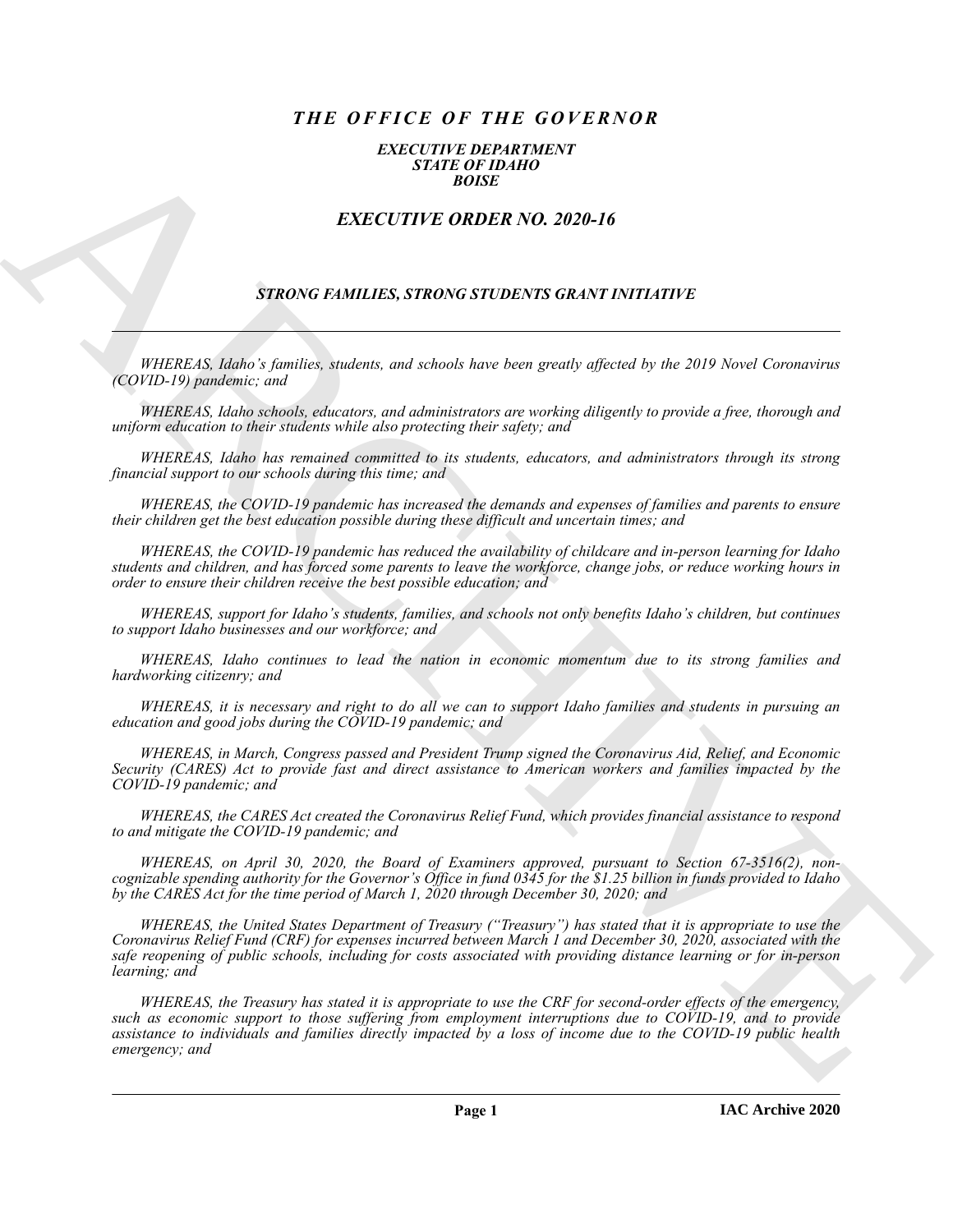# *THE OFFICE OF THE GOVERNOR*

#### *EXECUTIVE DEPARTMENT STATE OF IDAHO BOISE*

## *EXECUTIVE ORDER NO. 2020-16*

### *STRONG FAMILIES, STRONG STUDENTS GRANT INITIATIVE*

*WHEREAS, Idaho's families, students, and schools have been greatly affected by the 2019 Novel Coronavirus (COVID-19) pandemic; and*

*WHEREAS, Idaho schools, educators, and administrators are working diligently to provide a free, thorough and uniform education to their students while also protecting their safety; and*

*WHEREAS, Idaho has remained committed to its students, educators, and administrators through its strong financial support to our schools during this time; and*

*WHEREAS, the COVID-19 pandemic has increased the demands and expenses of families and parents to ensure their children get the best education possible during these difficult and uncertain times; and*

*WHEREAS, the COVID-19 pandemic has reduced the availability of childcare and in-person learning for Idaho students and children, and has forced some parents to leave the workforce, change jobs, or reduce working hours in order to ensure their children receive the best possible education; and*

*WHEREAS, support for Idaho's students, families, and schools not only benefits Idaho's children, but continues to support Idaho businesses and our workforce; and* 

*WHEREAS, Idaho continues to lead the nation in economic momentum due to its strong families and hardworking citizenry; and*

*WHEREAS, it is necessary and right to do all we can to support Idaho families and students in pursuing an education and good jobs during the COVID-19 pandemic; and* 

*WHEREAS, in March, Congress passed and President Trump signed the Coronavirus Aid, Relief, and Economic Security (CARES) Act to provide fast and direct assistance to American workers and families impacted by the COVID-19 pandemic; and*

*WHEREAS, the CARES Act created the Coronavirus Relief Fund, which provides financial assistance to respond to and mitigate the COVID-19 pandemic; and*

*WHEREAS, on April 30, 2020, the Board of Examiners approved, pursuant to Section 67-3516(2), noncognizable spending authority for the Governor's Office in fund 0345 for the \$1.25 billion in funds provided to Idaho by the CARES Act for the time period of March 1, 2020 through December 30, 2020; and*

**EXACTLY IF:** ORDER NO. 2020-16<br>
EXACTLY IF: ORDER NO. 2020-16<br>
EXACTLY IF: ORDER NO. 2020-16<br>
STRUKO E-MAHLILES, STRUKO STLUENTS (ERANT ESTELLITER<br>
STRUKO E-MAHLILES, STRUKO STLUENTS (ERANT ESTELLITER<br>
STRUKO CONSUMIRENT *WHEREAS, the United States Department of Treasury ("Treasury") has stated that it is appropriate to use the Coronavirus Relief Fund (CRF) for expenses incurred between March 1 and December 30, 2020, associated with the safe reopening of public schools, including for costs associated with providing distance learning or for in-person learning; and*

*WHEREAS, the Treasury has stated it is appropriate to use the CRF for second-order effects of the emergency, such as economic support to those suffering from employment interruptions due to COVID-19, and to provide assistance to individuals and families directly impacted by a loss of income due to the COVID-19 public health emergency; and*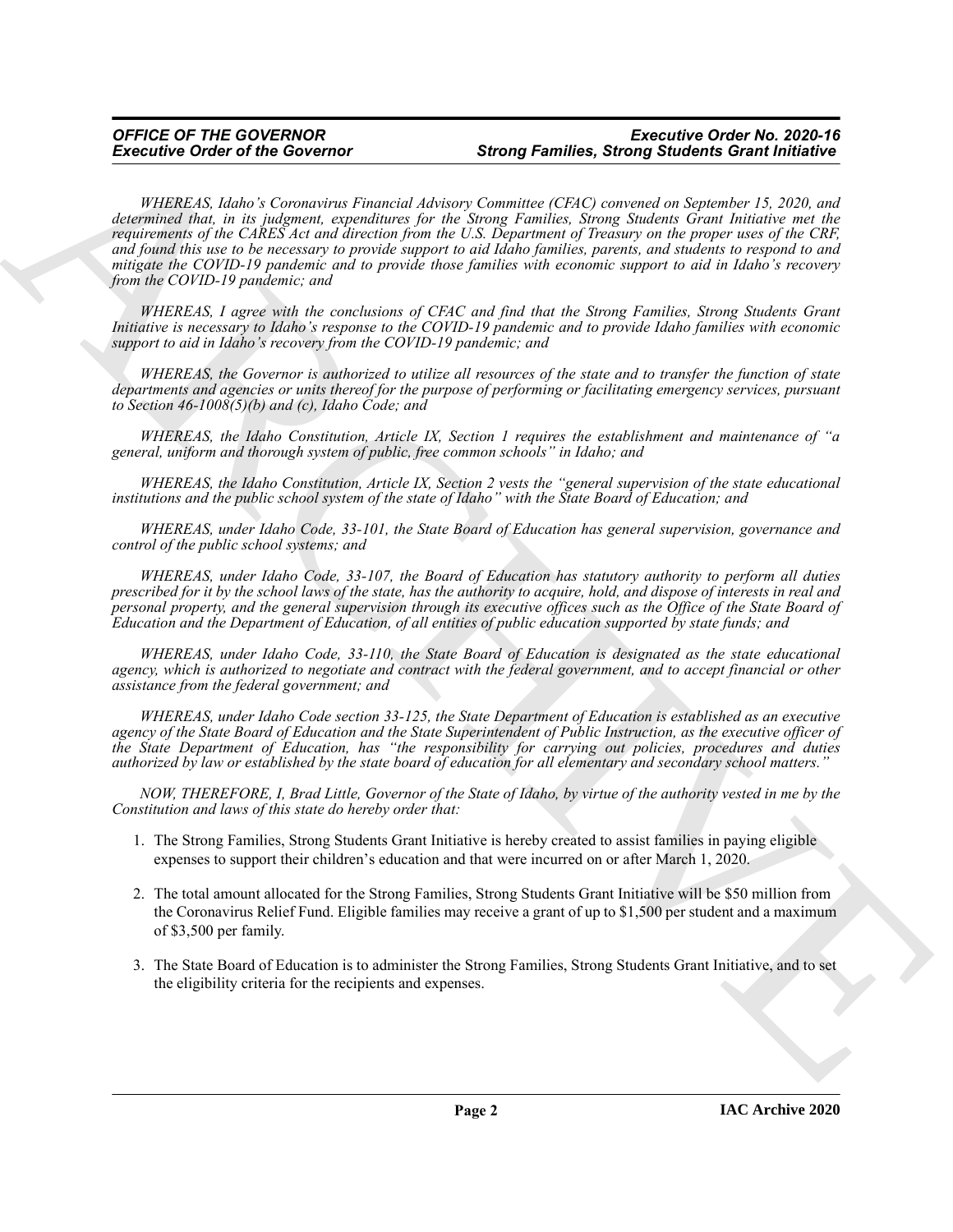Executive Order of the Governor<br>Streng Families, Streng Families, Streng Suidents Grant International Control or the Company Suidents Grant International Control or the company of the Company of the Company of the Company *WHEREAS, Idaho's Coronavirus Financial Advisory Committee (CFAC) convened on September 15, 2020, and determined that, in its judgment, expenditures for the Strong Families, Strong Students Grant Initiative met the requirements of the CARES Act and direction from the U.S. Department of Treasury on the proper uses of the CRF, and found this use to be necessary to provide support to aid Idaho families, parents, and students to respond to and mitigate the COVID-19 pandemic and to provide those families with economic support to aid in Idaho's recovery from the COVID-19 pandemic; and*

*WHEREAS, I agree with the conclusions of CFAC and find that the Strong Families, Strong Students Grant Initiative is necessary to Idaho's response to the COVID-19 pandemic and to provide Idaho families with economic support to aid in Idaho's recovery from the COVID-19 pandemic; and*

*WHEREAS, the Governor is authorized to utilize all resources of the state and to transfer the function of state departments and agencies or units thereof for the purpose of performing or facilitating emergency services, pursuant to Section 46-1008(5)(b) and (c), Idaho Code; and*

*WHEREAS, the Idaho Constitution, Article IX, Section 1 requires the establishment and maintenance of "a general, uniform and thorough system of public, free common schools" in Idaho; and* 

*WHEREAS, the Idaho Constitution, Article IX, Section 2 vests the "general supervision of the state educational institutions and the public school system of the state of Idaho" with the State Board of Education; and*

*WHEREAS, under Idaho Code, 33-101, the State Board of Education has general supervision, governance and control of the public school systems; and*

*WHEREAS, under Idaho Code, 33-107, the Board of Education has statutory authority to perform all duties prescribed for it by the school laws of the state, has the authority to acquire, hold, and dispose of interests in real and personal property, and the general supervision through its executive offices such as the Office of the State Board of Education and the Department of Education, of all entities of public education supported by state funds; and*

*WHEREAS, under Idaho Code, 33-110, the State Board of Education is designated as the state educational agency, which is authorized to negotiate and contract with the federal government, and to accept financial or other assistance from the federal government; and*

*WHEREAS, under Idaho Code section 33-125, the State Department of Education is established as an executive agency of the State Board of Education and the State Superintendent of Public Instruction, as the executive officer of the State Department of Education, has "the responsibility for carrying out policies, procedures and duties authorized by law or established by the state board of education for all elementary and secondary school matters."*

*NOW, THEREFORE, I, Brad Little, Governor of the State of Idaho, by virtue of the authority vested in me by the Constitution and laws of this state do hereby order that:*

- 1. The Strong Families, Strong Students Grant Initiative is hereby created to assist families in paying eligible expenses to support their children's education and that were incurred on or after March 1, 2020.
- 2. The total amount allocated for the Strong Families, Strong Students Grant Initiative will be \$50 million from the Coronavirus Relief Fund. Eligible families may receive a grant of up to \$1,500 per student and a maximum of \$3,500 per family.
- 3. The State Board of Education is to administer the Strong Families, Strong Students Grant Initiative, and to set the eligibility criteria for the recipients and expenses.